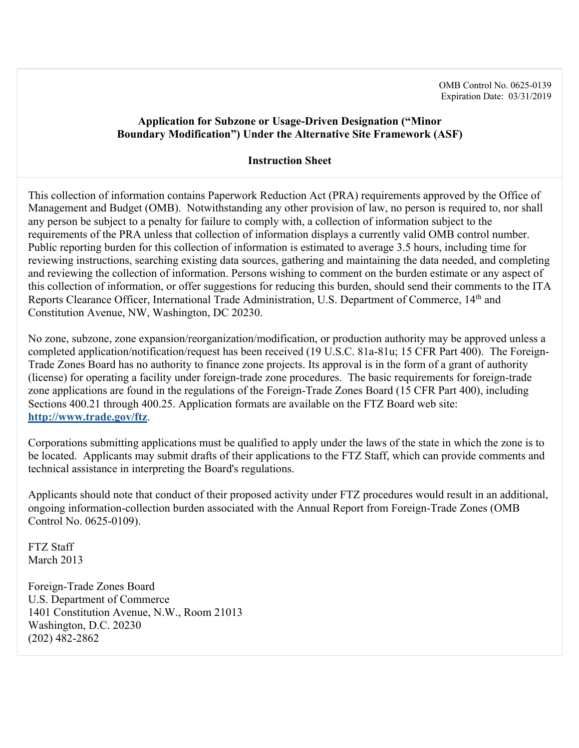# **Application for Subzone or Usage-Driven Designation ("Minor Boundary Modification") Under the Alternative Site Framework (ASF)**

## **Instruction Sheet**

This collection of information contains Paperwork Reduction Act (PRA) requirements approved by the Office of Management and Budget (OMB). Notwithstanding any other provision of law, no person is required to, nor shall any person be subject to a penalty for failure to comply with, a collection of information subject to the requirements of the PRA unless that collection of information displays a currently valid OMB control number. Public reporting burden for this collection of information is estimated to average 3.5 hours, including time for reviewing instructions, searching existing data sources, gathering and maintaining the data needed, and completing and reviewing the collection of information. Persons wishing to comment on the burden estimate or any aspect of this collection of information, or offer suggestions for reducing this burden, should send their comments to the ITA Reports Clearance Officer, International Trade Administration, U.S. Department of Commerce, 14<sup>th</sup> and Constitution Avenue, NW, Washington, DC 20230.

No zone, subzone, zone expansion/reorganization/modification, or production authority may be approved unless a completed application/notification/request has been received (19 U.S.C. 81a-81u; 15 CFR Part 400). The Foreign-Trade Zones Board has no authority to finance zone projects. Its approval is in the form of a grant of authority (license) for operating a facility under foreign-trade zone procedures. The basic requirements for foreign-trade zone applications are found in the regulations of the Foreign-Trade Zones Board (15 CFR Part 400), including Sections 400.21 through 400.25. Application formats are available on the FTZ Board web site: **http://www.trade.gov/ftz**.

Corporations submitting applications must be qualified to apply under the laws of the state in which the zone is to be located. Applicants may submit drafts of their applications to the FTZ Staff, which can provide comments and technical assistance in interpreting the Board's regulations.

Applicants should note that conduct of their proposed activity under FTZ procedures would result in an additional, ongoing information-collection burden associated with the Annual Report from Foreign-Trade Zones (OMB Control No. 0625-0109).

FTZ Staff March 2013

Foreign-Trade Zones Board U.S. Department of Commerce 1401 Constitution Avenue, N.W., Room 21013 Washington, D.C. 20230 (202) 482-2862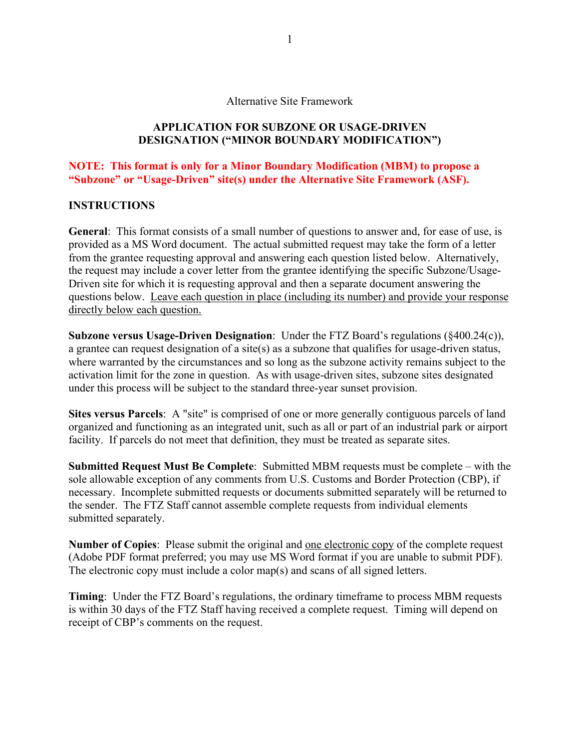#### Alternative Site Framework

### **APPLICATION FOR SUBZONE OR USAGE-DRIVEN DESIGNATION ("MINOR BOUNDARY MODIFICATION")**

**NOTE: This format is only for a Minor Boundary Modification (MBM) to propose a "Subzone" or "Usage-Driven" site(s) under the Alternative Site Framework (ASF).**

### **INSTRUCTIONS**

**General**: This format consists of a small number of questions to answer and, for ease of use, is provided as a MS Word document. The actual submitted request may take the form of a letter from the grantee requesting approval and answering each question listed below. Alternatively, the request may include a cover letter from the grantee identifying the specific Subzone/Usage-Driven site for which it is requesting approval and then a separate document answering the questions below. Leave each question in place (including its number) and provide your response directly below each question.

**Subzone versus Usage-Driven Designation**: Under the FTZ Board's regulations (§400.24(c)), a grantee can request designation of a site(s) as a subzone that qualifies for usage-driven status, where warranted by the circumstances and so long as the subzone activity remains subject to the activation limit for the zone in question. As with usage-driven sites, subzone sites designated under this process will be subject to the standard three-year sunset provision.

**Sites versus Parcels**: A "site" is comprised of one or more generally contiguous parcels of land organized and functioning as an integrated unit, such as all or part of an industrial park or airport facility. If parcels do not meet that definition, they must be treated as separate sites.

**Submitted Request Must Be Complete**: Submitted MBM requests must be complete – with the sole allowable exception of any comments from U.S. Customs and Border Protection (CBP), if necessary. Incomplete submitted requests or documents submitted separately will be returned to the sender. The FTZ Staff cannot assemble complete requests from individual elements submitted separately.

**Number of Copies**: Please submit the original and one electronic copy of the complete request (Adobe PDF format preferred; you may use MS Word format if you are unable to submit PDF). The electronic copy must include a color map(s) and scans of all signed letters.

**Timing**: Under the FTZ Board's regulations, the ordinary timeframe to process MBM requests is within 30 days of the FTZ Staff having received a complete request. Timing will depend on receipt of CBP's comments on the request.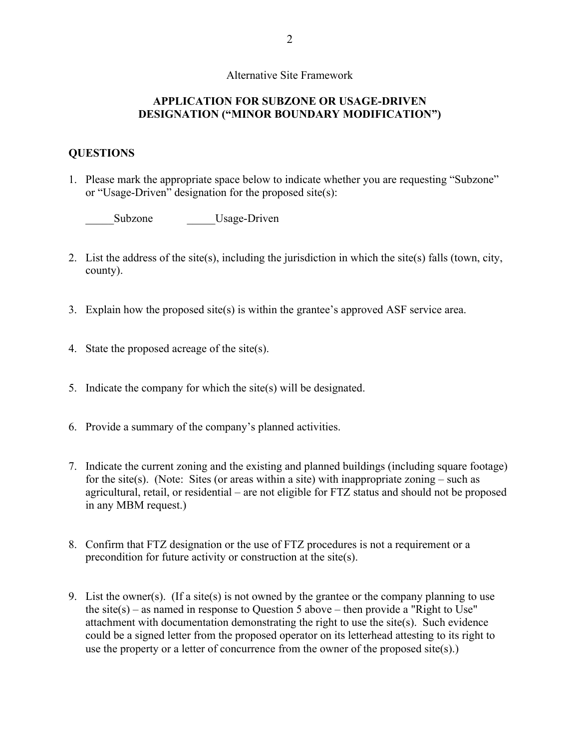### Alternative Site Framework

## **APPLICATION FOR SUBZONE OR USAGE-DRIVEN DESIGNATION ("MINOR BOUNDARY MODIFICATION")**

### **QUESTIONS**

1. Please mark the appropriate space below to indicate whether you are requesting "Subzone" or "Usage-Driven" designation for the proposed site(s):

Subzone Usage-Driven

- 2. List the address of the site(s), including the jurisdiction in which the site(s) falls (town, city, county).
- 3. Explain how the proposed site(s) is within the grantee's approved ASF service area.
- 4. State the proposed acreage of the site(s).
- 5. Indicate the company for which the site(s) will be designated.
- 6. Provide a summary of the company's planned activities.
- 7. Indicate the current zoning and the existing and planned buildings (including square footage) for the site(s). (Note: Sites (or areas within a site) with inappropriate zoning – such as agricultural, retail, or residential – are not eligible for FTZ status and should not be proposed in any MBM request.)
- 8. Confirm that FTZ designation or the use of FTZ procedures is not a requirement or a precondition for future activity or construction at the site(s).
- 9. List the owner(s). (If a site(s) is not owned by the grantee or the company planning to use the site(s) – as named in response to Question 5 above – then provide a "Right to Use" attachment with documentation demonstrating the right to use the site(s). Such evidence could be a signed letter from the proposed operator on its letterhead attesting to its right to use the property or a letter of concurrence from the owner of the proposed site(s).)